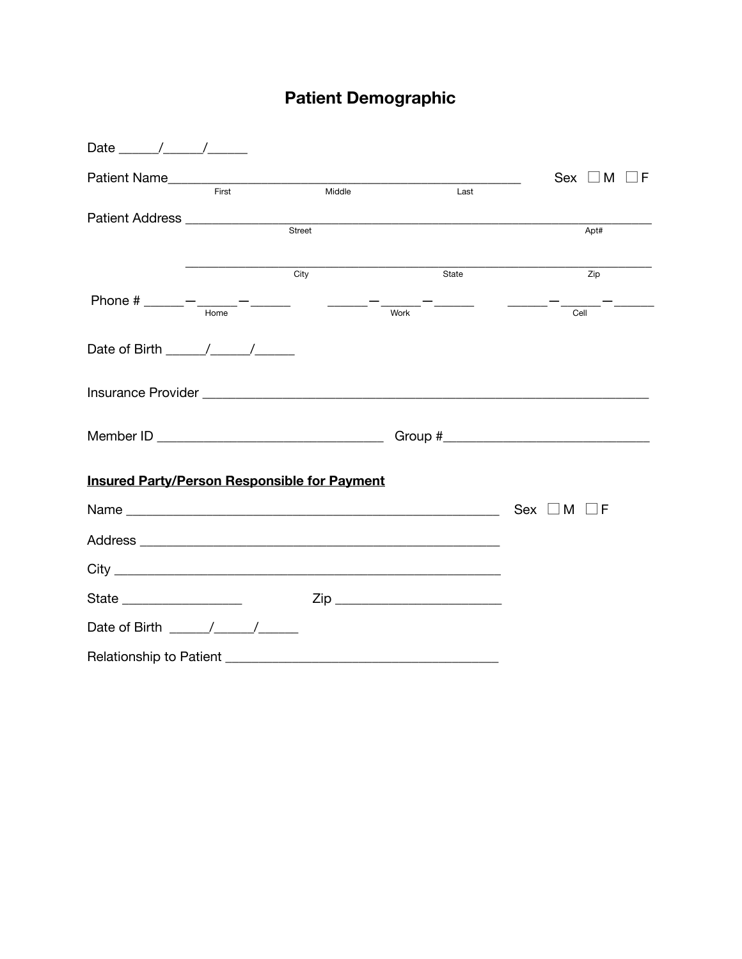# **Patient Demographic**

| Date $\frac{1}{\sqrt{1-\frac{1}{2}}}\left( \frac{1}{\sqrt{1-\frac{1}{2}}}\right)$ |       |                                                                                                                                                                                                                                                                                                                                                                                                                                     |                    |                                                                                                                                                                                                                                                                                                                                                   |
|-----------------------------------------------------------------------------------|-------|-------------------------------------------------------------------------------------------------------------------------------------------------------------------------------------------------------------------------------------------------------------------------------------------------------------------------------------------------------------------------------------------------------------------------------------|--------------------|---------------------------------------------------------------------------------------------------------------------------------------------------------------------------------------------------------------------------------------------------------------------------------------------------------------------------------------------------|
|                                                                                   |       |                                                                                                                                                                                                                                                                                                                                                                                                                                     |                    | $Sex \Box M \Box F$                                                                                                                                                                                                                                                                                                                               |
|                                                                                   | First | Middle                                                                                                                                                                                                                                                                                                                                                                                                                              | Last               |                                                                                                                                                                                                                                                                                                                                                   |
|                                                                                   |       | Street                                                                                                                                                                                                                                                                                                                                                                                                                              |                    | Apt#                                                                                                                                                                                                                                                                                                                                              |
|                                                                                   |       | City                                                                                                                                                                                                                                                                                                                                                                                                                                | State              | Zip                                                                                                                                                                                                                                                                                                                                               |
|                                                                                   |       | $\begin{array}{cccccccccc} \textbf{1} & \textbf{1} & \textbf{1} & \textbf{1} & \textbf{1} & \textbf{1} & \textbf{1} & \textbf{1} & \textbf{1} & \textbf{1} & \textbf{1} & \textbf{1} & \textbf{1} & \textbf{1} & \textbf{1} & \textbf{1} & \textbf{1} & \textbf{1} & \textbf{1} & \textbf{1} & \textbf{1} & \textbf{1} & \textbf{1} & \textbf{1} & \textbf{1} & \textbf{1} & \textbf{1} & \textbf{1} & \textbf{1} & \textbf{1} & \$ | Work               | $-\frac{1}{2}$ $-\frac{1}{2}$ $-\frac{1}{2}$ $-\frac{1}{2}$ $-\frac{1}{2}$ $-\frac{1}{2}$ $-\frac{1}{2}$ $-\frac{1}{2}$ $-\frac{1}{2}$ $-\frac{1}{2}$ $-\frac{1}{2}$ $-\frac{1}{2}$ $-\frac{1}{2}$ $-\frac{1}{2}$ $-\frac{1}{2}$ $-\frac{1}{2}$ $-\frac{1}{2}$ $-\frac{1}{2}$ $-\frac{1}{2}$ $-\frac{1}{2}$ $-\frac{1}{2}$ $-\frac{1}{2}$<br>Cell |
| Date of Birth $\frac{1}{\sqrt{1-\frac{1}{2}}}\left(1-\frac{1}{2}\right)$          |       |                                                                                                                                                                                                                                                                                                                                                                                                                                     |                    |                                                                                                                                                                                                                                                                                                                                                   |
|                                                                                   |       |                                                                                                                                                                                                                                                                                                                                                                                                                                     |                    |                                                                                                                                                                                                                                                                                                                                                   |
|                                                                                   |       |                                                                                                                                                                                                                                                                                                                                                                                                                                     |                    |                                                                                                                                                                                                                                                                                                                                                   |
| <b>Insured Party/Person Responsible for Payment</b>                               |       |                                                                                                                                                                                                                                                                                                                                                                                                                                     |                    |                                                                                                                                                                                                                                                                                                                                                   |
|                                                                                   |       |                                                                                                                                                                                                                                                                                                                                                                                                                                     |                    | $\sqcup$ M<br>_IF                                                                                                                                                                                                                                                                                                                                 |
|                                                                                   |       |                                                                                                                                                                                                                                                                                                                                                                                                                                     |                    |                                                                                                                                                                                                                                                                                                                                                   |
|                                                                                   |       |                                                                                                                                                                                                                                                                                                                                                                                                                                     |                    |                                                                                                                                                                                                                                                                                                                                                   |
| State ___________________                                                         |       |                                                                                                                                                                                                                                                                                                                                                                                                                                     | $\mathsf{Zip}\_\_$ |                                                                                                                                                                                                                                                                                                                                                   |
| Date of Birth $\frac{1}{2}$                                                       |       |                                                                                                                                                                                                                                                                                                                                                                                                                                     |                    |                                                                                                                                                                                                                                                                                                                                                   |
|                                                                                   |       |                                                                                                                                                                                                                                                                                                                                                                                                                                     |                    |                                                                                                                                                                                                                                                                                                                                                   |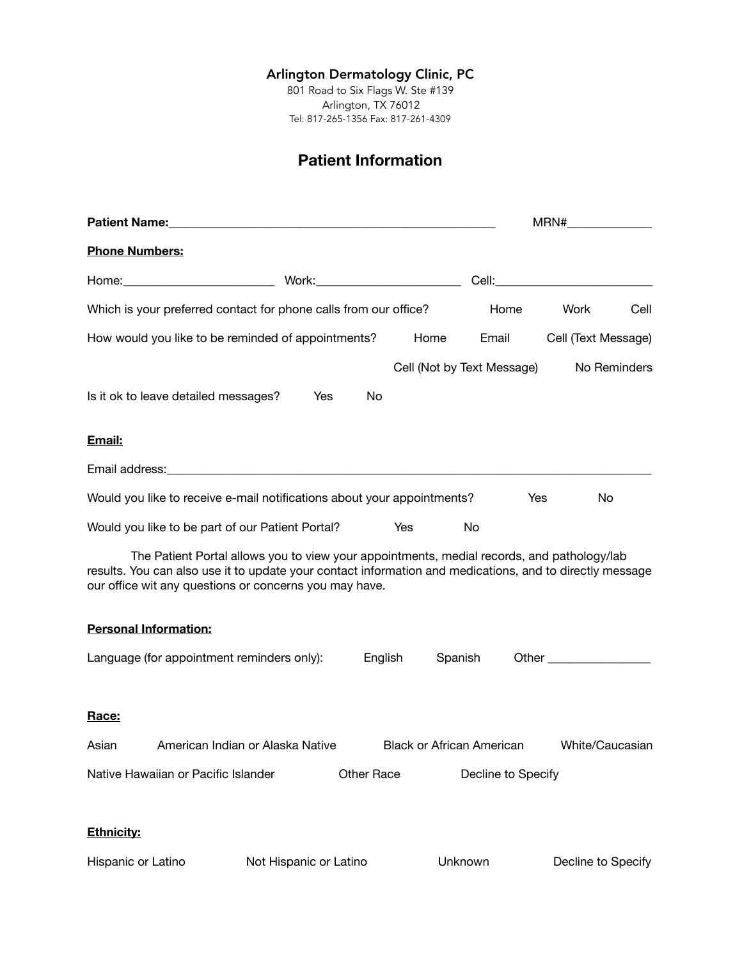#### Arlington Dermatology Clinic, PC

801 Road to Six Flags W. Ste #139 Arlington, TX 76012 Tel: 817-265-1356 Fax: 817-261-4309

## **Patient Information**

|                                                                                                                                                                    | MRN#________________                                                                       |                                  |                            |                                                                                                                                                                                                                                |  |  |
|--------------------------------------------------------------------------------------------------------------------------------------------------------------------|--------------------------------------------------------------------------------------------|----------------------------------|----------------------------|--------------------------------------------------------------------------------------------------------------------------------------------------------------------------------------------------------------------------------|--|--|
| <b>Phone Numbers:</b>                                                                                                                                              |                                                                                            |                                  |                            |                                                                                                                                                                                                                                |  |  |
|                                                                                                                                                                    |                                                                                            |                                  |                            |                                                                                                                                                                                                                                |  |  |
| Which is your preferred contact for phone calls from our office?                                                                                                   |                                                                                            |                                  | Home                       | Work<br>Cell                                                                                                                                                                                                                   |  |  |
| How would you like to be reminded of appointments?                                                                                                                 |                                                                                            | Home                             | Email                      | Cell (Text Message)                                                                                                                                                                                                            |  |  |
|                                                                                                                                                                    |                                                                                            |                                  | Cell (Not by Text Message) | No Reminders                                                                                                                                                                                                                   |  |  |
| Is it ok to leave detailed messages?                                                                                                                               | Yes<br>No                                                                                  |                                  |                            |                                                                                                                                                                                                                                |  |  |
| Email:                                                                                                                                                             |                                                                                            |                                  |                            |                                                                                                                                                                                                                                |  |  |
|                                                                                                                                                                    |                                                                                            |                                  |                            |                                                                                                                                                                                                                                |  |  |
| Would you like to receive e-mail notifications about your appointments?                                                                                            |                                                                                            |                                  | Yes                        | No                                                                                                                                                                                                                             |  |  |
| Would you like to be part of our Patient Portal?                                                                                                                   |                                                                                            | Yes                              | No                         |                                                                                                                                                                                                                                |  |  |
| results. You can also use it to update your contact information and medications, and to directly message<br>our office wit any questions or concerns you may have. | The Patient Portal allows you to view your appointments, medial records, and pathology/lab |                                  |                            |                                                                                                                                                                                                                                |  |  |
| <b>Personal Information:</b>                                                                                                                                       |                                                                                            |                                  |                            |                                                                                                                                                                                                                                |  |  |
| Language (for appointment reminders only):                                                                                                                         |                                                                                            | English<br>Spanish               |                            | Other the contract of the contract of the contract of the contract of the contract of the contract of the contract of the contract of the contract of the contract of the contract of the contract of the contract of the cont |  |  |
| Race:                                                                                                                                                              |                                                                                            |                                  |                            |                                                                                                                                                                                                                                |  |  |
| Asian                                                                                                                                                              | American Indian or Alaska Native                                                           | <b>Black or African American</b> |                            | White/Caucasian                                                                                                                                                                                                                |  |  |
| Native Hawaiian or Pacific Islander                                                                                                                                | <b>Other Race</b>                                                                          |                                  | Decline to Specify         |                                                                                                                                                                                                                                |  |  |
| <b>Ethnicity:</b>                                                                                                                                                  |                                                                                            |                                  |                            |                                                                                                                                                                                                                                |  |  |
| Hispanic or Latino                                                                                                                                                 | Not Hispanic or Latino                                                                     | Unknown                          |                            | Decline to Specify                                                                                                                                                                                                             |  |  |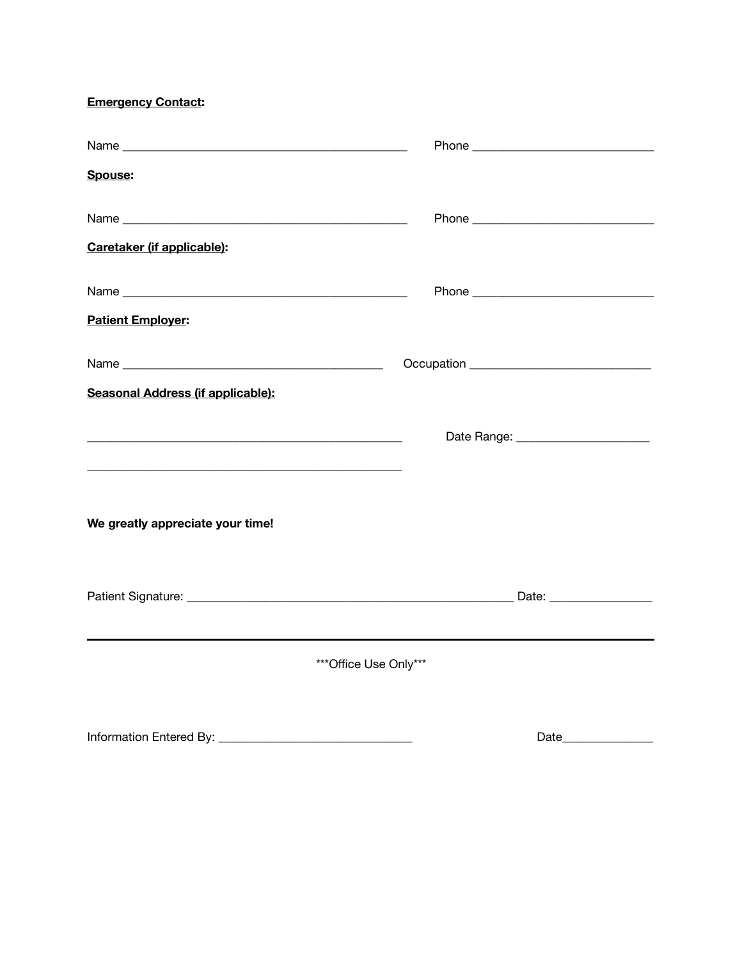**Emergency Contact:** 

| <b>Spouse:</b>                                                                                                       |      |
|----------------------------------------------------------------------------------------------------------------------|------|
|                                                                                                                      |      |
| Caretaker (if applicable):                                                                                           |      |
|                                                                                                                      |      |
| <b>Patient Employer:</b>                                                                                             |      |
|                                                                                                                      |      |
| Seasonal Address (if applicable):                                                                                    |      |
| <u> 1980 - Jan James James Barnett, fransk politik (d. 1980)</u>                                                     |      |
| <u> 1989 - Johann John Barn, mars ar breithinn ar breithinn an t-ann an t-ann an t-ann an t-ann an t-ann an t-an</u> |      |
| We greatly appreciate your time!                                                                                     |      |
|                                                                                                                      |      |
| *** Office Use Only***                                                                                               |      |
|                                                                                                                      | Date |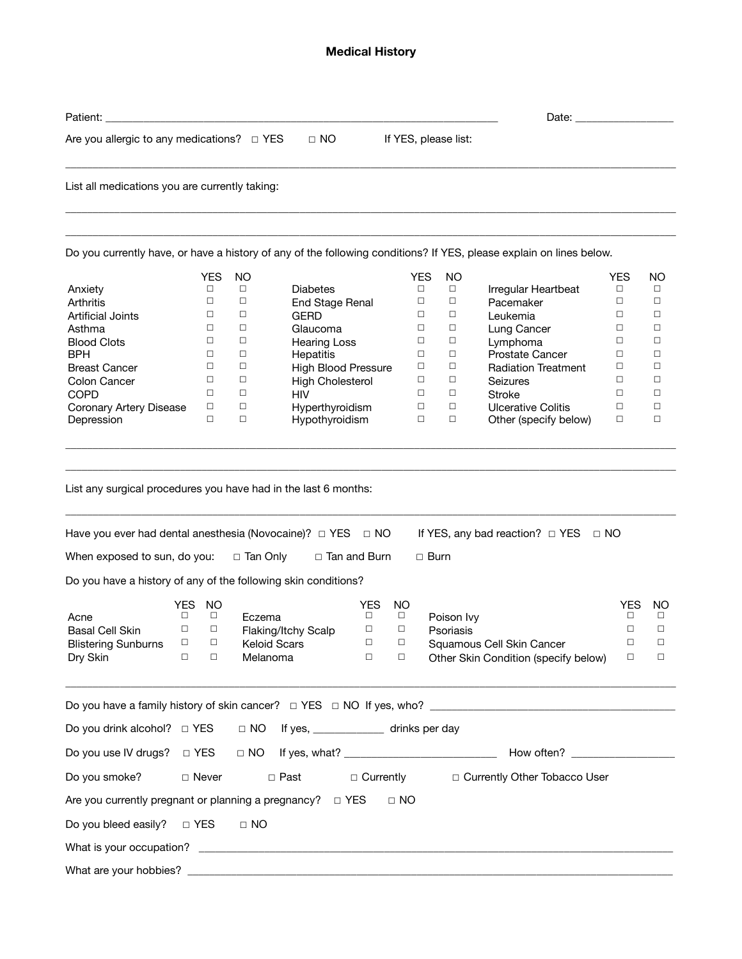#### **Medical History**

| Patient:                                                                                              |        |            |              |                            |        |           |                                            | Date:                |                                                                                                                     |            |        |
|-------------------------------------------------------------------------------------------------------|--------|------------|--------------|----------------------------|--------|-----------|--------------------------------------------|----------------------|---------------------------------------------------------------------------------------------------------------------|------------|--------|
| Are you allergic to any medications? $\Box$ YES                                                       |        |            |              | $\Box$ NO                  |        |           |                                            | If YES, please list: |                                                                                                                     |            |        |
| List all medications you are currently taking:                                                        |        |            |              |                            |        |           |                                            |                      |                                                                                                                     |            |        |
|                                                                                                       |        |            |              |                            |        |           |                                            |                      |                                                                                                                     |            |        |
|                                                                                                       |        |            |              |                            |        |           |                                            |                      | Do you currently have, or have a history of any of the following conditions? If YES, please explain on lines below. |            |        |
|                                                                                                       |        | <b>YES</b> | NO           |                            |        |           | <b>YES</b>                                 | NO.                  |                                                                                                                     | <b>YES</b> | NO.    |
| Anxiety                                                                                               |        | $\Box$     | $\Box$       | <b>Diabetes</b>            |        |           | $\Box$                                     | $\Box$               | Irregular Heartbeat                                                                                                 | $\Box$     | $\Box$ |
| Arthritis                                                                                             |        | $\Box$     | $\Box$       | End Stage Renal            |        |           | □                                          | □                    | Pacemaker                                                                                                           | $\Box$     | $\Box$ |
| <b>Artificial Joints</b>                                                                              |        | □          | $\Box$       | <b>GERD</b>                |        |           | □                                          | □                    | Leukemia                                                                                                            | $\Box$     | $\Box$ |
| Asthma                                                                                                |        | □          | $\Box$       | Glaucoma                   |        |           | $\Box$                                     | □                    | Lung Cancer                                                                                                         | $\Box$     | $\Box$ |
| <b>Blood Clots</b>                                                                                    |        | □          | $\Box$       | <b>Hearing Loss</b>        |        |           | $\Box$                                     | □                    | Lymphoma                                                                                                            | $\Box$     | $\Box$ |
| BPH                                                                                                   |        | □          | $\Box$       | Hepatitis                  |        |           | □                                          | $\Box$               | <b>Prostate Cancer</b>                                                                                              | $\Box$     | $\Box$ |
| <b>Breast Cancer</b>                                                                                  |        | □          | $\Box$       | <b>High Blood Pressure</b> |        |           | □                                          | □                    | <b>Radiation Treatment</b>                                                                                          | □          | $\Box$ |
| Colon Cancer                                                                                          |        | □          | $\Box$       | <b>High Cholesterol</b>    |        |           | □                                          | $\Box$               | Seizures                                                                                                            | $\Box$     | $\Box$ |
| <b>COPD</b>                                                                                           |        | □          | $\Box$       | <b>HIV</b>                 |        |           | $\Box$                                     | □                    | <b>Stroke</b>                                                                                                       | $\Box$     | $\Box$ |
| Coronary Artery Disease                                                                               |        | □          | $\Box$       | Hyperthyroidism            |        |           | □                                          | □                    | <b>Ulcerative Colitis</b>                                                                                           | □          | $\Box$ |
| Depression                                                                                            |        | $\Box$     | $\Box$       | Hypothyroidism             |        |           | $\Box$                                     | $\Box$               | Other (specify below)                                                                                               | $\Box$     | $\Box$ |
| Have you ever had dental anesthesia (Novocaine)? $\Box$ YES $\Box$ NO<br>When exposed to sun, do you: |        |            | □ Tan Only   | $\Box$ Tan and Burn        |        |           | $\Box$ Burn                                |                      | If YES, any bad reaction? $\Box$ YES                                                                                | $\Box$ NO  |        |
| Do you have a history of any of the following skin conditions?                                        |        |            |              |                            |        |           |                                            |                      |                                                                                                                     |            |        |
|                                                                                                       |        |            |              |                            |        |           |                                            |                      |                                                                                                                     |            |        |
|                                                                                                       | YES.   | <b>NO</b>  |              |                            | YES    | <b>NO</b> |                                            |                      |                                                                                                                     | <b>YES</b> | NO.    |
| Acne                                                                                                  | □      | $\Box$     | Eczema       |                            | $\Box$ | $\Box$    | Poison Ivy                                 |                      |                                                                                                                     | $\Box$     | $\Box$ |
| <b>Basal Cell Skin</b>                                                                                | $\Box$ | $\Box$     |              | Flaking/Itchy Scalp        | $\Box$ | $\Box$    | Psoriasis                                  |                      |                                                                                                                     | $\Box$     | $\Box$ |
| <b>Blistering Sunburns</b>                                                                            | □      | □          |              | Keloid Scars               | $\Box$ | □         | Sauamous Cell Skin Cancer                  |                      |                                                                                                                     | □          | □      |
| Dry Skin                                                                                              | $\Box$ | $\Box$     | Melanoma     |                            | $\Box$ | $\Box$    |                                            |                      | Other Skin Condition (specify below)                                                                                | $\Box$     | $\Box$ |
|                                                                                                       |        |            |              |                            |        |           |                                            |                      |                                                                                                                     |            |        |
|                                                                                                       |        |            |              |                            |        |           |                                            |                      |                                                                                                                     |            |        |
|                                                                                                       |        |            |              |                            |        |           |                                            |                      | Do you use IV drugs? □ YES □ NO If yes, what? __________________________________ How often? __________________      |            |        |
| Do you smoke?                                                                                         |        |            | $\Box$ Never | $\Box$ Past                |        |           | □ Currently □ Currently Other Tobacco User |                      |                                                                                                                     |            |        |
| Are you currently pregnant or planning a pregnancy? $\Box$ YES                                        |        |            |              |                            |        | $\Box$ NO |                                            |                      |                                                                                                                     |            |        |
| Do you bleed easily? $\Box$ YES                                                                       |        |            | $\Box$ NO    |                            |        |           |                                            |                      |                                                                                                                     |            |        |
|                                                                                                       |        |            |              |                            |        |           |                                            |                      |                                                                                                                     |            |        |
|                                                                                                       |        |            |              |                            |        |           |                                            |                      |                                                                                                                     |            |        |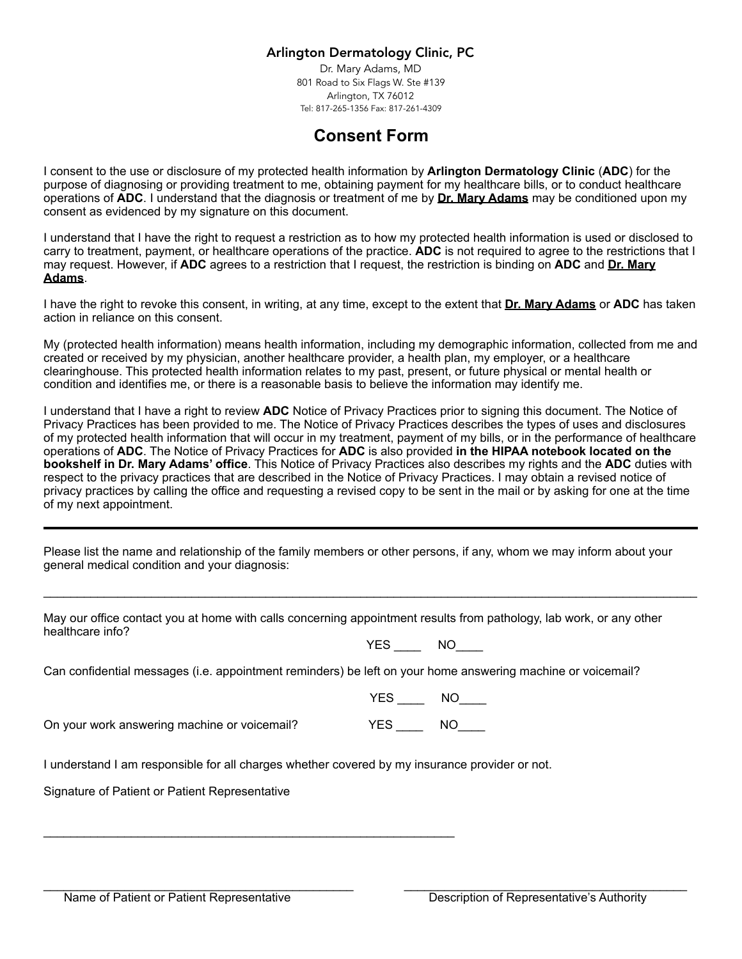#### Arlington Dermatology Clinic, PC

Dr. Mary Adams, MD 801 Road to Six Flags W. Ste #139 Arlington, TX 76012 Tel: 817-265-1356 Fax: 817-261-4309

# **Consent Form**

I consent to the use or disclosure of my protected health information by **Arlington Dermatology Clinic** (**ADC**) for the purpose of diagnosing or providing treatment to me, obtaining payment for my healthcare bills, or to conduct healthcare operations of **ADC**. I understand that the diagnosis or treatment of me by **Dr. Mary Adams** may be conditioned upon my consent as evidenced by my signature on this document.

I understand that I have the right to request a restriction as to how my protected health information is used or disclosed to carry to treatment, payment, or healthcare operations of the practice. **ADC** is not required to agree to the restrictions that I may request. However, if **ADC** agrees to a restriction that I request, the restriction is binding on **ADC** and **Dr. Mary Adams**.

I have the right to revoke this consent, in writing, at any time, except to the extent that **Dr. Mary Adams** or **ADC** has taken action in reliance on this consent.

My (protected health information) means health information, including my demographic information, collected from me and created or received by my physician, another healthcare provider, a health plan, my employer, or a healthcare clearinghouse. This protected health information relates to my past, present, or future physical or mental health or condition and identifies me, or there is a reasonable basis to believe the information may identify me.

I understand that I have a right to review **ADC** Notice of Privacy Practices prior to signing this document. The Notice of Privacy Practices has been provided to me. The Notice of Privacy Practices describes the types of uses and disclosures of my protected health information that will occur in my treatment, payment of my bills, or in the performance of healthcare operations of **ADC**. The Notice of Privacy Practices for **ADC** is also provided **in the HIPAA notebook located on the bookshelf in Dr. Mary Adams' office**. This Notice of Privacy Practices also describes my rights and the **ADC** duties with respect to the privacy practices that are described in the Notice of Privacy Practices. I may obtain a revised notice of privacy practices by calling the office and requesting a revised copy to be sent in the mail or by asking for one at the time of my next appointment.

Please list the name and relationship of the family members or other persons, if any, whom we may inform about your general medical condition and your diagnosis:

 $\_$  ,  $\_$  ,  $\_$  ,  $\_$  ,  $\_$  ,  $\_$  ,  $\_$  ,  $\_$  ,  $\_$  ,  $\_$  ,  $\_$  ,  $\_$  ,  $\_$  ,  $\_$  ,  $\_$  ,  $\_$  ,  $\_$  ,  $\_$  ,  $\_$  ,  $\_$  ,  $\_$  ,  $\_$  ,  $\_$  ,  $\_$  ,  $\_$  ,  $\_$  ,  $\_$  ,  $\_$  ,  $\_$  ,  $\_$  ,  $\_$  ,  $\_$  ,  $\_$  ,  $\_$  ,  $\_$  ,  $\_$  ,  $\_$  ,

 $\_$  ,  $\_$  ,  $\_$  ,  $\_$  ,  $\_$  ,  $\_$  ,  $\_$  ,  $\_$  ,  $\_$  ,  $\_$  ,  $\_$  ,  $\_$  ,  $\_$  ,  $\_$  ,  $\_$  ,  $\_$  ,  $\_$  ,  $\_$  ,  $\_$  ,  $\_$ 

May our office contact you at home with calls concerning appointment results from pathology, lab work, or any other healthcare info?

YES NO

Can confidential messages (i.e. appointment reminders) be left on your home answering machine or voicemail?

YES \_\_\_\_ NO\_\_\_\_

On your work answering machine or voicemail? YES \_\_\_\_ NO\_\_\_\_

I understand I am responsible for all charges whether covered by my insurance provider or not.

\_\_\_\_\_\_\_\_\_\_\_\_\_\_\_\_\_\_\_\_\_\_\_\_\_\_\_\_\_\_\_\_\_\_\_\_\_\_\_\_\_\_\_\_\_\_\_\_\_\_\_\_\_\_\_\_\_\_\_\_\_

Signature of Patient or Patient Representative